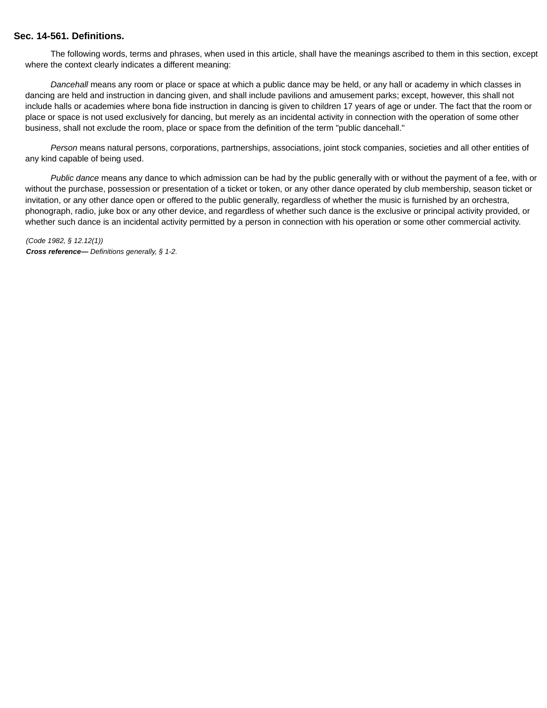#### **Sec. 14-561. Definitions.**

The following words, terms and phrases, when used in this article, shall have the meanings ascribed to them in this section, except where the context clearly indicates a different meaning:

Dancehall means any room or place or space at which a public dance may be held, or any hall or academy in which classes in dancing are held and instruction in dancing given, and shall include pavilions and amusement parks; except, however, this shall not include halls or academies where bona fide instruction in dancing is given to children 17 years of age or under. The fact that the room or place or space is not used exclusively for dancing, but merely as an incidental activity in connection with the operation of some other business, shall not exclude the room, place or space from the definition of the term "public dancehall."

Person means natural persons, corporations, partnerships, associations, joint stock companies, societies and all other entities of any kind capable of being used.

Public dance means any dance to which admission can be had by the public generally with or without the payment of a fee, with or without the purchase, possession or presentation of a ticket or token, or any other dance operated by club membership, season ticket or invitation, or any other dance open or offered to the public generally, regardless of whether the music is furnished by an orchestra, phonograph, radio, juke box or any other device, and regardless of whether such dance is the exclusive or principal activity provided, or whether such dance is an incidental activity permitted by a person in connection with his operation or some other commercial activity.

(Code 1982, § 12.12(1)) **Cross reference—** Definitions generally, § 1-2.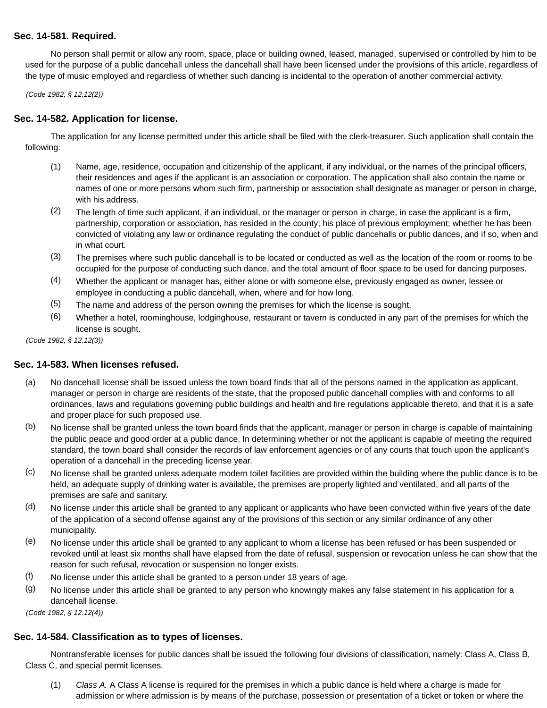# **Sec. 14-581. Required.**

No person shall permit or allow any room, space, place or building owned, leased, managed, supervised or controlled by him to be used for the purpose of a public dancehall unless the dancehall shall have been licensed under the provisions of this article, regardless of the type of music employed and regardless of whether such dancing is incidental to the operation of another commercial activity.

(Code 1982, § 12.12(2))

## **Sec. 14-582. Application for license.**

The application for any license permitted under this article shall be filed with the clerk-treasurer. Such application shall contain the following:

- (1) Name, age, residence, occupation and citizenship of the applicant, if any individual, or the names of the principal officers, their residences and ages if the applicant is an association or corporation. The application shall also contain the name or names of one or more persons whom such firm, partnership or association shall designate as manager or person in charge, with his address.
- (2) The length of time such applicant, if an individual, or the manager or person in charge, in case the applicant is a firm, partnership, corporation or association, has resided in the county; his place of previous employment; whether he has been convicted of violating any law or ordinance regulating the conduct of public dancehalls or public dances, and if so, when and in what court.
- (3) The premises where such public dancehall is to be located or conducted as well as the location of the room or rooms to be occupied for the purpose of conducting such dance, and the total amount of floor space to be used for dancing purposes.
- (4) Whether the applicant or manager has, either alone or with someone else, previously engaged as owner, lessee or employee in conducting a public dancehall, when, where and for how long.
- (5) The name and address of the person owning the premises for which the license is sought.
- (6) Whether a hotel, roominghouse, lodginghouse, restaurant or tavern is conducted in any part of the premises for which the license is sought.

(Code 1982, § 12.12(3))

#### **Sec. 14-583. When licenses refused.**

- (a) No dancehall license shall be issued unless the town board finds that all of the persons named in the application as applicant, manager or person in charge are residents of the state, that the proposed public dancehall complies with and conforms to all ordinances, laws and regulations governing public buildings and health and fire regulations applicable thereto, and that it is a safe and proper place for such proposed use.
- (b) No license shall be granted unless the town board finds that the applicant, manager or person in charge is capable of maintaining the public peace and good order at a public dance. In determining whether or not the applicant is capable of meeting the required standard, the town board shall consider the records of law enforcement agencies or of any courts that touch upon the applicant's operation of a dancehall in the preceding license year.
- (c) No license shall be granted unless adequate modern toilet facilities are provided within the building where the public dance is to be held, an adequate supply of drinking water is available, the premises are properly lighted and ventilated, and all parts of the premises are safe and sanitary.
- (d) No license under this article shall be granted to any applicant or applicants who have been convicted within five years of the date of the application of a second offense against any of the provisions of this section or any similar ordinance of any other municipality.
- (e) No license under this article shall be granted to any applicant to whom a license has been refused or has been suspended or revoked until at least six months shall have elapsed from the date of refusal, suspension or revocation unless he can show that the reason for such refusal, revocation or suspension no longer exists.
- (f) No license under this article shall be granted to a person under 18 years of age.
- (g) No license under this article shall be granted to any person who knowingly makes any false statement in his application for a dancehall license.

(Code 1982, § 12.12(4))

#### **Sec. 14-584. Classification as to types of licenses.**

Nontransferable licenses for public dances shall be issued the following four divisions of classification, namely: Class A, Class B, Class C, and special permit licenses.

(1) Class A. A Class A license is required for the premises in which a public dance is held where a charge is made for admission or where admission is by means of the purchase, possession or presentation of a ticket or token or where the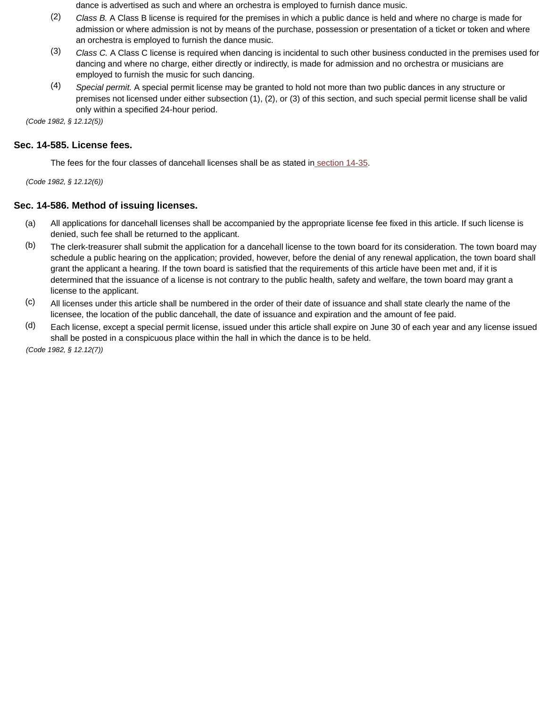dance is advertised as such and where an orchestra is employed to furnish dance music.

- (2) Class B. A Class B license is required for the premises in which a public dance is held and where no charge is made for admission or where admission is not by means of the purchase, possession or presentation of a ticket or token and where an orchestra is employed to furnish the dance music.
- (3) Class C. A Class C license is required when dancing is incidental to such other business conducted in the premises used for dancing and where no charge, either directly or indirectly, is made for admission and no orchestra or musicians are employed to furnish the music for such dancing.
- (4) Special permit. A special permit license may be granted to hold not more than two public dances in any structure or premises not licensed under either subsection (1), (2), or (3) of this section, and such special permit license shall be valid only within a specified 24-hour period.

(Code 1982, § 12.12(5))

## **Sec. 14-585. License fees.**

The fees for the four classes of dancehall licenses shall be as stated in section 14-35.

(Code 1982, § 12.12(6))

### **Sec. 14-586. Method of issuing licenses.**

- (a) All applications for dancehall licenses shall be accompanied by the appropriate license fee fixed in this article. If such license is denied, such fee shall be returned to the applicant.
- (b) The clerk-treasurer shall submit the application for a dancehall license to the town board for its consideration. The town board may schedule a public hearing on the application; provided, however, before the denial of any renewal application, the town board shall grant the applicant a hearing. If the town board is satisfied that the requirements of this article have been met and, if it is determined that the issuance of a license is not contrary to the public health, safety and welfare, the town board may grant a license to the applicant.
- (c) All licenses under this article shall be numbered in the order of their date of issuance and shall state clearly the name of the licensee, the location of the public dancehall, the date of issuance and expiration and the amount of fee paid.
- (d) Each license, except a special permit license, issued under this article shall expire on June 30 of each year and any license issued shall be posted in a conspicuous place within the hall in which the dance is to be held.

(Code 1982, § 12.12(7))